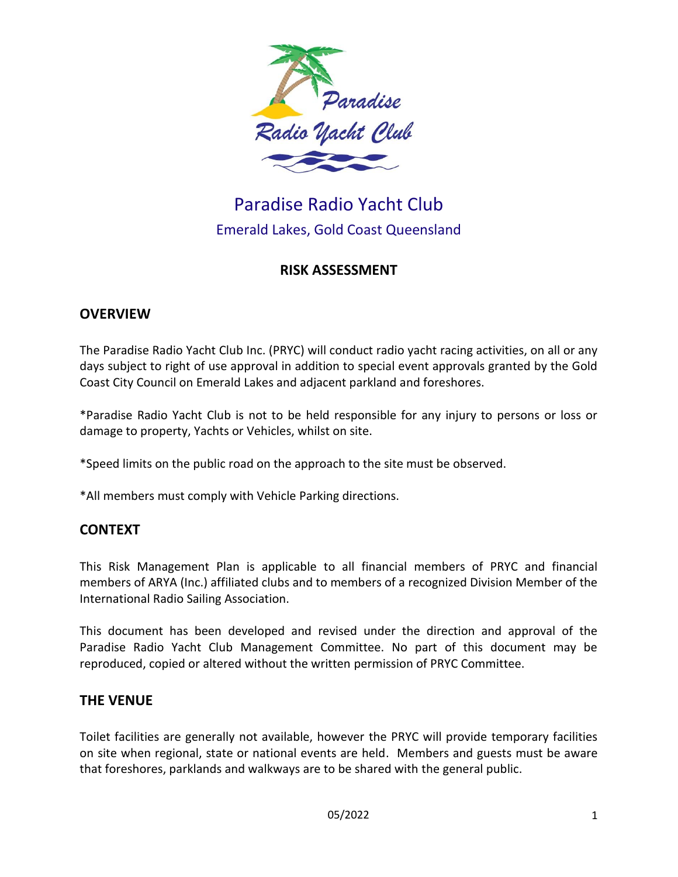

# Paradise Radio Yacht Club Emerald Lakes, Gold Coast Queensland

## **RISK ASSESSMENT**

#### **OVERVIEW**

The Paradise Radio Yacht Club Inc. (PRYC) will conduct radio yacht racing activities, on all or any days subject to right of use approval in addition to special event approvals granted by the Gold Coast City Council on Emerald Lakes and adjacent parkland and foreshores.

\*Paradise Radio Yacht Club is not to be held responsible for any injury to persons or loss or damage to property, Yachts or Vehicles, whilst on site.

\*Speed limits on the public road on the approach to the site must be observed.

\*All members must comply with Vehicle Parking directions.

## **CONTEXT**

This Risk Management Plan is applicable to all financial members of PRYC and financial members of ARYA (Inc.) affiliated clubs and to members of a recognized Division Member of the International Radio Sailing Association.

This document has been developed and revised under the direction and approval of the Paradise Radio Yacht Club Management Committee. No part of this document may be reproduced, copied or altered without the written permission of PRYC Committee.

#### **THE VENUE**

Toilet facilities are generally not available, however the PRYC will provide temporary facilities on site when regional, state or national events are held. Members and guests must be aware that foreshores, parklands and walkways are to be shared with the general public.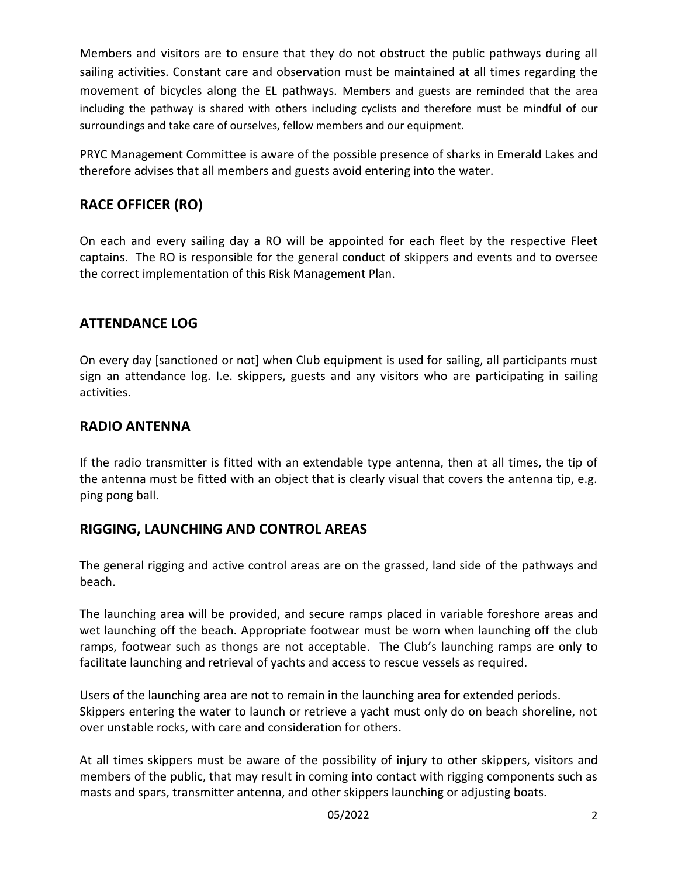Members and visitors are to ensure that they do not obstruct the public pathways during all sailing activities. Constant care and observation must be maintained at all times regarding the movement of bicycles along the EL pathways. Members and guests are reminded that the area including the pathway is shared with others including cyclists and therefore must be mindful of our surroundings and take care of ourselves, fellow members and our equipment.

PRYC Management Committee is aware of the possible presence of sharks in Emerald Lakes and therefore advises that all members and guests avoid entering into the water.

# **RACE OFFICER (RO)**

On each and every sailing day a RO will be appointed for each fleet by the respective Fleet captains. The RO is responsible for the general conduct of skippers and events and to oversee the correct implementation of this Risk Management Plan.

# **ATTENDANCE LOG**

On every day [sanctioned or not] when Club equipment is used for sailing, all participants must sign an attendance log. I.e. skippers, guests and any visitors who are participating in sailing activities.

#### **RADIO ANTENNA**

If the radio transmitter is fitted with an extendable type antenna, then at all times, the tip of the antenna must be fitted with an object that is clearly visual that covers the antenna tip, e.g. ping pong ball.

## **RIGGING, LAUNCHING AND CONTROL AREAS**

The general rigging and active control areas are on the grassed, land side of the pathways and beach.

The launching area will be provided, and secure ramps placed in variable foreshore areas and wet launching off the beach. Appropriate footwear must be worn when launching off the club ramps, footwear such as thongs are not acceptable. The Club's launching ramps are only to facilitate launching and retrieval of yachts and access to rescue vessels as required.

Users of the launching area are not to remain in the launching area for extended periods. Skippers entering the water to launch or retrieve a yacht must only do on beach shoreline, not over unstable rocks, with care and consideration for others.

At all times skippers must be aware of the possibility of injury to other skippers, visitors and members of the public, that may result in coming into contact with rigging components such as masts and spars, transmitter antenna, and other skippers launching or adjusting boats.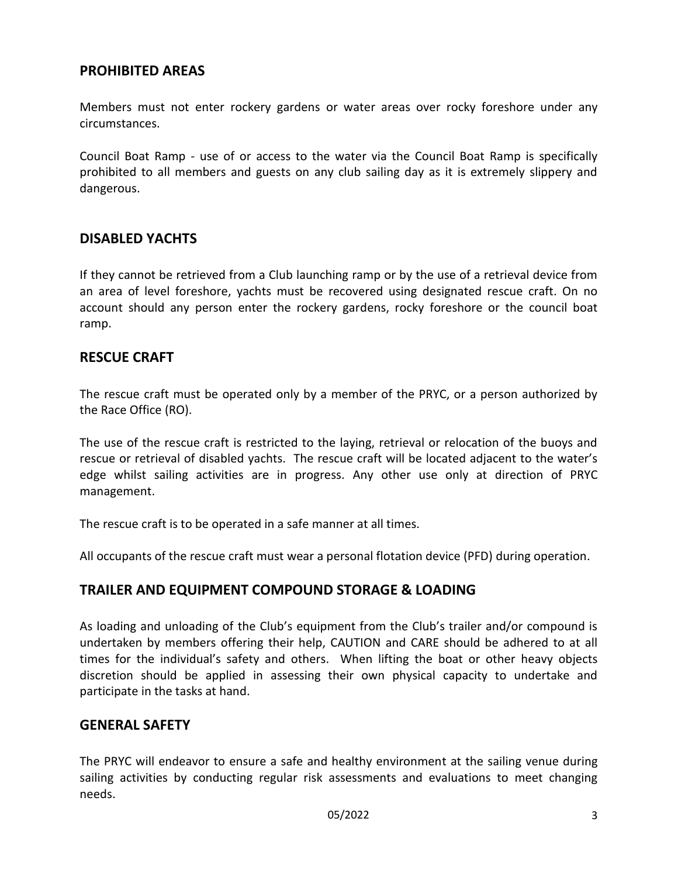#### **PROHIBITED AREAS**

Members must not enter rockery gardens or water areas over rocky foreshore under any circumstances.

Council Boat Ramp - use of or access to the water via the Council Boat Ramp is specifically prohibited to all members and guests on any club sailing day as it is extremely slippery and dangerous.

#### **DISABLED YACHTS**

If they cannot be retrieved from a Club launching ramp or by the use of a retrieval device from an area of level foreshore, yachts must be recovered using designated rescue craft. On no account should any person enter the rockery gardens, rocky foreshore or the council boat ramp.

#### **RESCUE CRAFT**

The rescue craft must be operated only by a member of the PRYC, or a person authorized by the Race Office (RO).

The use of the rescue craft is restricted to the laying, retrieval or relocation of the buoys and rescue or retrieval of disabled yachts. The rescue craft will be located adjacent to the water's edge whilst sailing activities are in progress. Any other use only at direction of PRYC management.

The rescue craft is to be operated in a safe manner at all times.

All occupants of the rescue craft must wear a personal flotation device (PFD) during operation.

#### **TRAILER AND EQUIPMENT COMPOUND STORAGE & LOADING**

As loading and unloading of the Club's equipment from the Club's trailer and/or compound is undertaken by members offering their help, CAUTION and CARE should be adhered to at all times for the individual's safety and others. When lifting the boat or other heavy objects discretion should be applied in assessing their own physical capacity to undertake and participate in the tasks at hand.

#### **GENERAL SAFETY**

The PRYC will endeavor to ensure a safe and healthy environment at the sailing venue during sailing activities by conducting regular risk assessments and evaluations to meet changing needs.